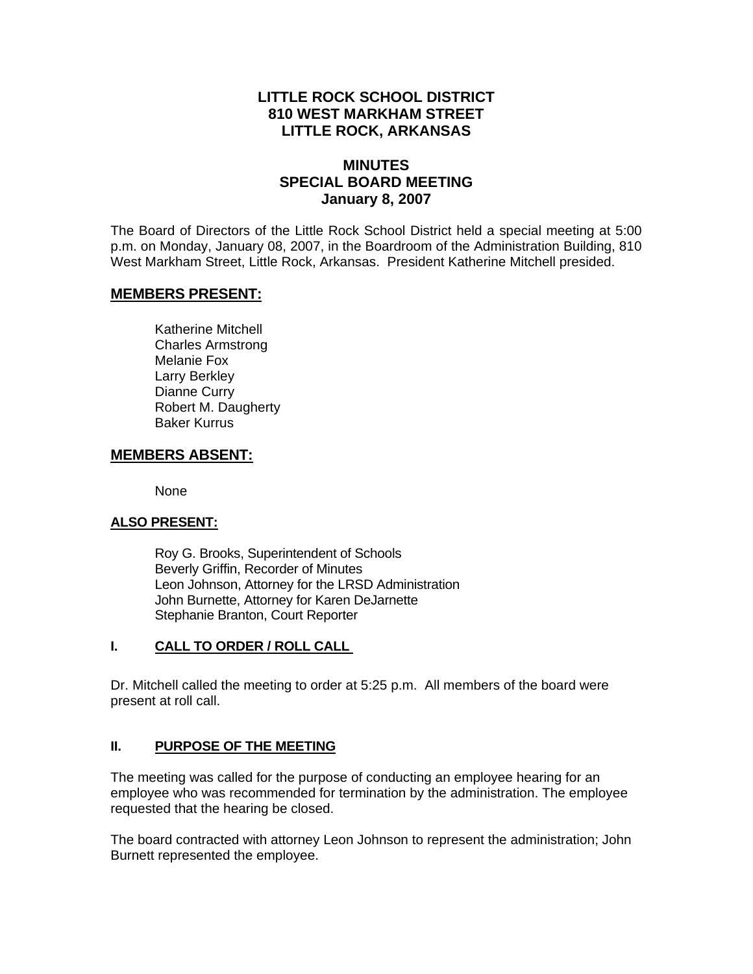# **LITTLE ROCK SCHOOL DISTRICT 810 WEST MARKHAM STREET LITTLE ROCK, ARKANSAS**

# **MINUTES SPECIAL BOARD MEETING January 8, 2007**

The Board of Directors of the Little Rock School District held a special meeting at 5:00 p.m. on Monday, January 08, 2007, in the Boardroom of the Administration Building, 810 West Markham Street, Little Rock, Arkansas. President Katherine Mitchell presided.

## **MEMBERS PRESENT:**

Katherine Mitchell Charles Armstrong Melanie Fox Larry Berkley Dianne Curry Robert M. Daugherty Baker Kurrus

## **MEMBERS ABSENT:**

None

## **ALSO PRESENT:**

 Roy G. Brooks, Superintendent of Schools Beverly Griffin, Recorder of Minutes Leon Johnson, Attorney for the LRSD Administration John Burnette, Attorney for Karen DeJarnette Stephanie Branton, Court Reporter

#### **I. CALL TO ORDER / ROLL CALL**

Dr. Mitchell called the meeting to order at 5:25 p.m. All members of the board were present at roll call.

### **II. PURPOSE OF THE MEETING**

The meeting was called for the purpose of conducting an employee hearing for an employee who was recommended for termination by the administration. The employee requested that the hearing be closed.

The board contracted with attorney Leon Johnson to represent the administration; John Burnett represented the employee.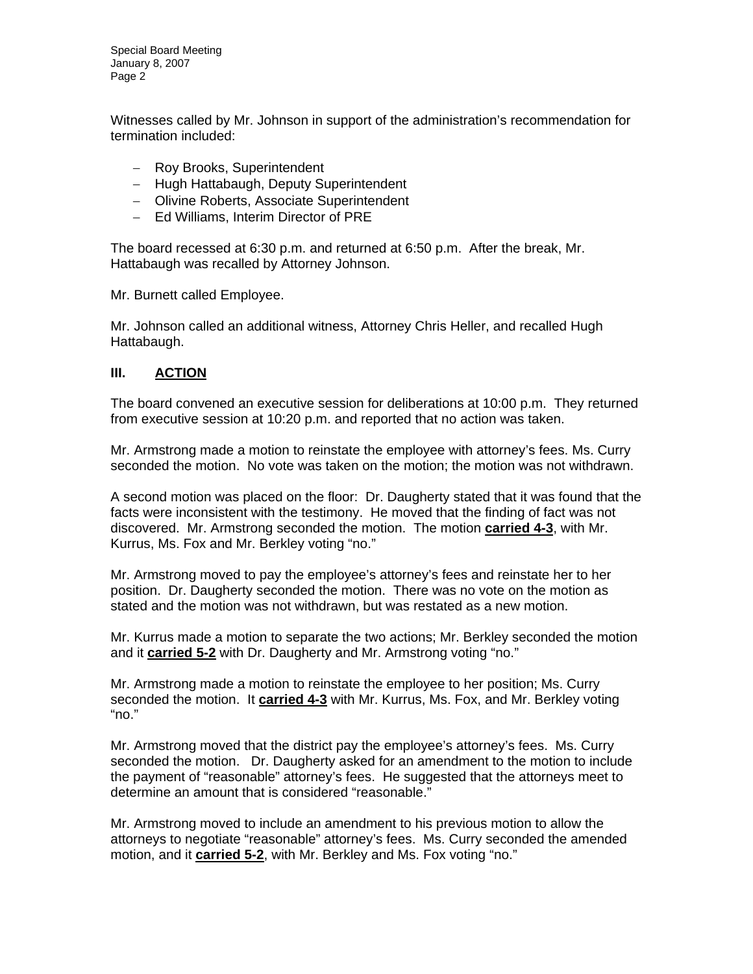Special Board Meeting January 8, 2007 Page 2

Witnesses called by Mr. Johnson in support of the administration's recommendation for termination included:

- − Roy Brooks, Superintendent
- − Hugh Hattabaugh, Deputy Superintendent
- − Olivine Roberts, Associate Superintendent
- − Ed Williams, Interim Director of PRE

The board recessed at 6:30 p.m. and returned at 6:50 p.m. After the break, Mr. Hattabaugh was recalled by Attorney Johnson.

Mr. Burnett called Employee.

Mr. Johnson called an additional witness, Attorney Chris Heller, and recalled Hugh Hattabaugh.

#### **III. ACTION**

The board convened an executive session for deliberations at 10:00 p.m. They returned from executive session at 10:20 p.m. and reported that no action was taken.

Mr. Armstrong made a motion to reinstate the employee with attorney's fees. Ms. Curry seconded the motion. No vote was taken on the motion; the motion was not withdrawn.

A second motion was placed on the floor: Dr. Daugherty stated that it was found that the facts were inconsistent with the testimony. He moved that the finding of fact was not discovered. Mr. Armstrong seconded the motion. The motion **carried 4-3**, with Mr. Kurrus, Ms. Fox and Mr. Berkley voting "no."

Mr. Armstrong moved to pay the employee's attorney's fees and reinstate her to her position. Dr. Daugherty seconded the motion. There was no vote on the motion as stated and the motion was not withdrawn, but was restated as a new motion.

Mr. Kurrus made a motion to separate the two actions; Mr. Berkley seconded the motion and it **carried 5-2** with Dr. Daugherty and Mr. Armstrong voting "no."

Mr. Armstrong made a motion to reinstate the employee to her position; Ms. Curry seconded the motion. It **carried 4-3** with Mr. Kurrus, Ms. Fox, and Mr. Berkley voting "no."

Mr. Armstrong moved that the district pay the employee's attorney's fees. Ms. Curry seconded the motion. Dr. Daugherty asked for an amendment to the motion to include the payment of "reasonable" attorney's fees. He suggested that the attorneys meet to determine an amount that is considered "reasonable."

Mr. Armstrong moved to include an amendment to his previous motion to allow the attorneys to negotiate "reasonable" attorney's fees. Ms. Curry seconded the amended motion, and it **carried 5-2**, with Mr. Berkley and Ms. Fox voting "no."